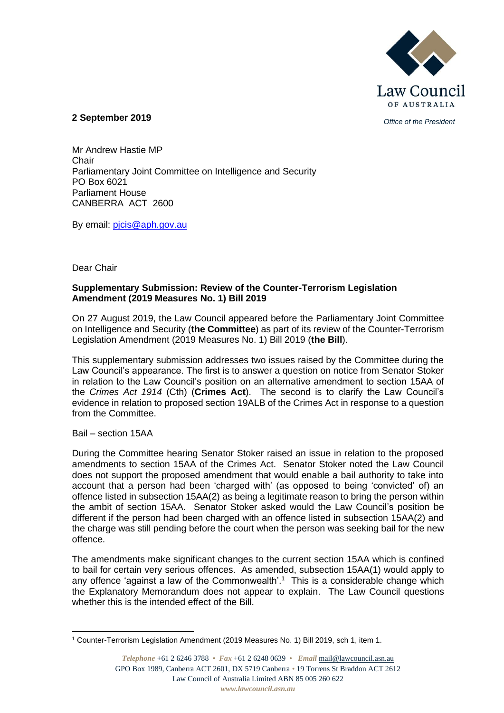

*Office of the President* **2 September 2019**

Mr Andrew Hastie MP Chair Parliamentary Joint Committee on Intelligence and Security PO Box 6021 Parliament House CANBERRA ACT 2600

By email: [pjcis@aph.gov.au](mailto:pjcis@aph.gov.au)

## Dear Chair

## **Supplementary Submission: Review of the Counter-Terrorism Legislation Amendment (2019 Measures No. 1) Bill 2019**

On 27 August 2019, the Law Council appeared before the Parliamentary Joint Committee on Intelligence and Security (**the Committee**) as part of its review of the Counter-Terrorism Legislation Amendment (2019 Measures No. 1) Bill 2019 (**the Bill**).

This supplementary submission addresses two issues raised by the Committee during the Law Council's appearance. The first is to answer a question on notice from Senator Stoker in relation to the Law Council's position on an alternative amendment to section 15AA of the *Crimes Act 1914* (Cth) (**Crimes Act**). The second is to clarify the Law Council's evidence in relation to proposed section 19ALB of the Crimes Act in response to a question from the Committee.

## Bail – section 15AA

During the Committee hearing Senator Stoker raised an issue in relation to the proposed amendments to section 15AA of the Crimes Act. Senator Stoker noted the Law Council does not support the proposed amendment that would enable a bail authority to take into account that a person had been 'charged with' (as opposed to being 'convicted' of) an offence listed in subsection 15AA(2) as being a legitimate reason to bring the person within the ambit of section 15AA. Senator Stoker asked would the Law Council's position be different if the person had been charged with an offence listed in subsection 15AA(2) and the charge was still pending before the court when the person was seeking bail for the new offence.

The amendments make significant changes to the current section 15AA which is confined to bail for certain very serious offences. As amended, subsection 15AA(1) would apply to any offence 'against a law of the Commonwealth'.<sup>1</sup> This is a considerable change which the Explanatory Memorandum does not appear to explain. The Law Council questions whether this is the intended effect of the Bill

<sup>1</sup> Counter-Terrorism Legislation Amendment (2019 Measures No. 1) Bill 2019, sch 1, item 1.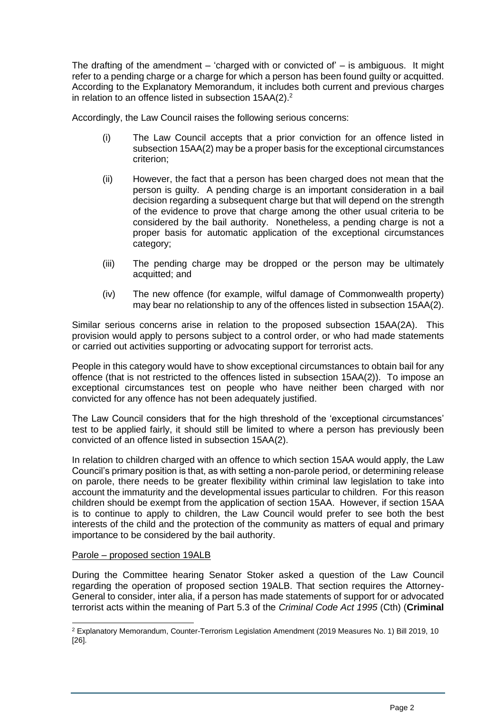The drafting of the amendment – 'charged with or convicted of' – is ambiguous. It might refer to a pending charge or a charge for which a person has been found guilty or acquitted. According to the Explanatory Memorandum, it includes both current and previous charges in relation to an offence listed in subsection  $15AA(2).^{2}$ 

Accordingly, the Law Council raises the following serious concerns:

- (i) The Law Council accepts that a prior conviction for an offence listed in subsection 15AA(2) may be a proper basis for the exceptional circumstances criterion;
- (ii) However, the fact that a person has been charged does not mean that the person is guilty. A pending charge is an important consideration in a bail decision regarding a subsequent charge but that will depend on the strength of the evidence to prove that charge among the other usual criteria to be considered by the bail authority. Nonetheless, a pending charge is not a proper basis for automatic application of the exceptional circumstances category;
- (iii) The pending charge may be dropped or the person may be ultimately acquitted; and
- (iv) The new offence (for example, wilful damage of Commonwealth property) may bear no relationship to any of the offences listed in subsection 15AA(2).

Similar serious concerns arise in relation to the proposed subsection 15AA(2A). This provision would apply to persons subject to a control order, or who had made statements or carried out activities supporting or advocating support for terrorist acts.

People in this category would have to show exceptional circumstances to obtain bail for any offence (that is not restricted to the offences listed in subsection 15AA(2)). To impose an exceptional circumstances test on people who have neither been charged with nor convicted for any offence has not been adequately justified.

The Law Council considers that for the high threshold of the 'exceptional circumstances' test to be applied fairly, it should still be limited to where a person has previously been convicted of an offence listed in subsection 15AA(2).

In relation to children charged with an offence to which section 15AA would apply, the Law Council's primary position is that, as with setting a non-parole period, or determining release on parole, there needs to be greater flexibility within criminal law legislation to take into account the immaturity and the developmental issues particular to children. For this reason children should be exempt from the application of section 15AA. However, if section 15AA is to continue to apply to children, the Law Council would prefer to see both the best interests of the child and the protection of the community as matters of equal and primary importance to be considered by the bail authority.

## Parole – proposed section 19ALB

During the Committee hearing Senator Stoker asked a question of the Law Council regarding the operation of proposed section 19ALB. That section requires the Attorney-General to consider, inter alia, if a person has made statements of support for or advocated terrorist acts within the meaning of Part 5.3 of the *Criminal Code Act 1995* (Cth) (**Criminal** 

<sup>2</sup> Explanatory Memorandum, Counter-Terrorism Legislation Amendment (2019 Measures No. 1) Bill 2019, 10 [26].